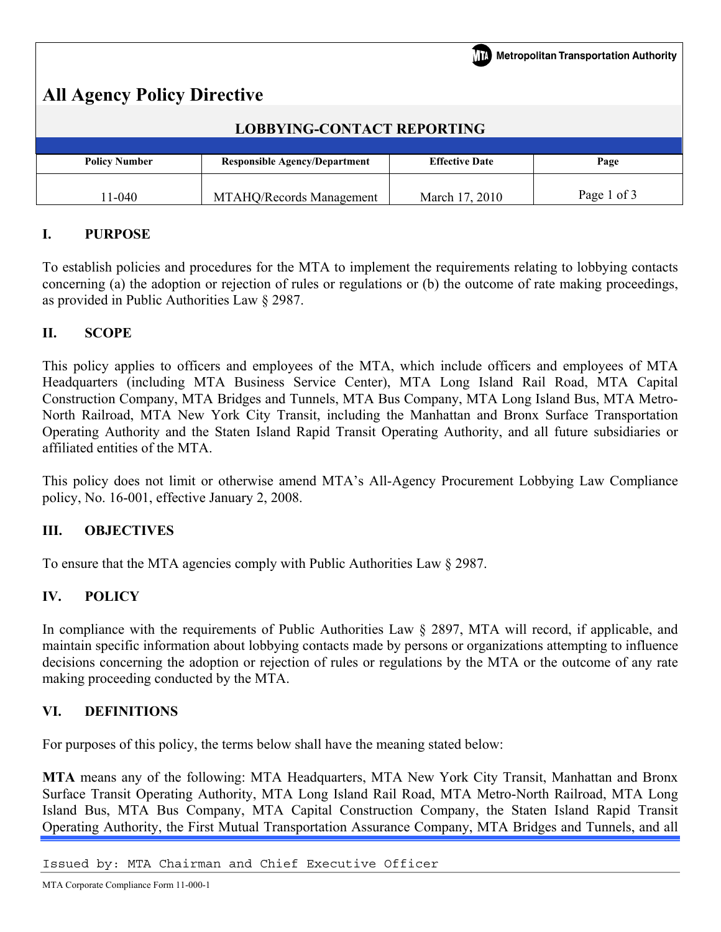| <b>Metropolitan Transportation Authority</b><br><b>All Agency Policy Directive</b> |                                      |                       |             |  |  |  |
|------------------------------------------------------------------------------------|--------------------------------------|-----------------------|-------------|--|--|--|
| <b>LOBBYING-CONTACT REPORTING</b>                                                  |                                      |                       |             |  |  |  |
| <b>Policy Number</b>                                                               | <b>Responsible Agency/Department</b> | <b>Effective Date</b> | Page        |  |  |  |
| 11-040                                                                             | MTAHQ/Records Management             | March 17, 2010        | Page 1 of 3 |  |  |  |

# **I. PURPOSE**

To establish policies and procedures for the MTA to implement the requirements relating to lobbying contacts concerning (a) the adoption or rejection of rules or regulations or (b) the outcome of rate making proceedings, as provided in Public Authorities Law § 2987.

### **II. SCOPE**

This policy applies to officers and employees of the MTA, which include officers and employees of MTA Headquarters (including MTA Business Service Center), MTA Long Island Rail Road, MTA Capital Construction Company, MTA Bridges and Tunnels, MTA Bus Company, MTA Long Island Bus, MTA Metro-North Railroad, MTA New York City Transit, including the Manhattan and Bronx Surface Transportation Operating Authority and the Staten Island Rapid Transit Operating Authority, and all future subsidiaries or affiliated entities of the MTA.

This policy does not limit or otherwise amend MTA's All-Agency Procurement Lobbying Law Compliance policy, No. 16-001, effective January 2, 2008.

### **III. OBJECTIVES**

To ensure that the MTA agencies comply with Public Authorities Law § 2987.

### **IV. POLICY**

In compliance with the requirements of Public Authorities Law § 2897, MTA will record, if applicable, and maintain specific information about lobbying contacts made by persons or organizations attempting to influence decisions concerning the adoption or rejection of rules or regulations by the MTA or the outcome of any rate making proceeding conducted by the MTA.

### **VI. DEFINITIONS**

For purposes of this policy, the terms below shall have the meaning stated below:

**MTA** means any of the following: MTA Headquarters, MTA New York City Transit, Manhattan and Bronx Surface Transit Operating Authority, MTA Long Island Rail Road, MTA Metro-North Railroad, MTA Long Island Bus, MTA Bus Company, MTA Capital Construction Company, the Staten Island Rapid Transit Operating Authority, the First Mutual Transportation Assurance Company, MTA Bridges and Tunnels, and all

Issued by: MTA Chairman and Chief Executive Officer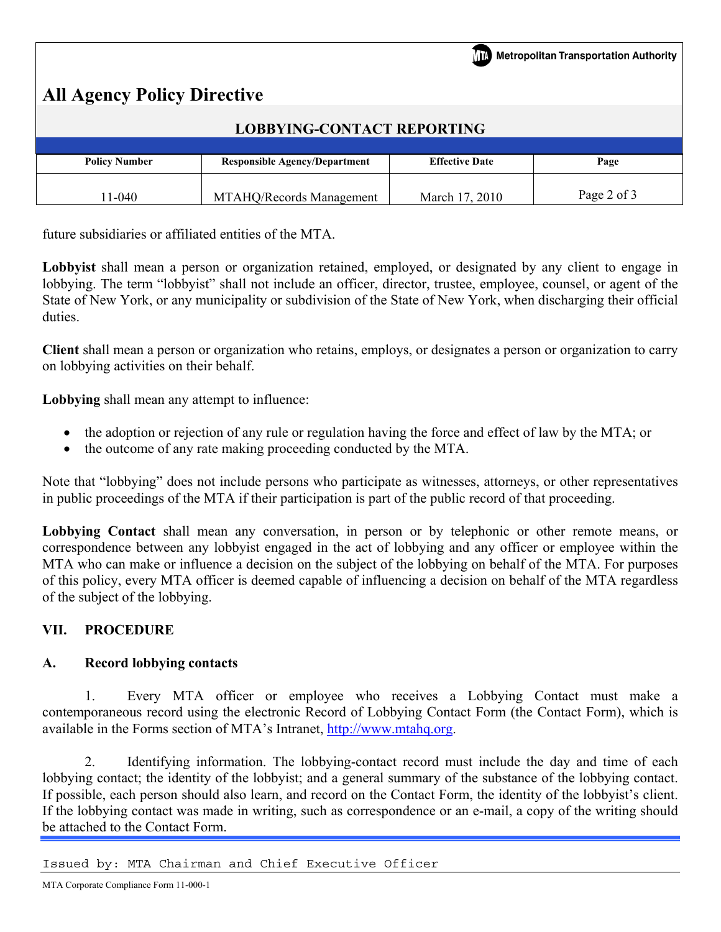# **All Agency Policy Directive**

| <b>LOBBYING-CONTACT REPORTING</b> |                                      |                       |             |  |  |
|-----------------------------------|--------------------------------------|-----------------------|-------------|--|--|
|                                   |                                      |                       |             |  |  |
| <b>Policy Number</b>              | <b>Responsible Agency/Department</b> | <b>Effective Date</b> | Page        |  |  |
| $1 - 040$                         | MTAHQ/Records Management             | March 17, 2010        | Page 2 of 3 |  |  |

future subsidiaries or affiliated entities of the MTA.

Lobby is shall mean a person or organization retained, employed, or designated by any client to engage in lobbying. The term "lobbyist" shall not include an officer, director, trustee, employee, counsel, or agent of the State of New York, or any municipality or subdivision of the State of New York, when discharging their official duties.

**Client** shall mean a person or organization who retains, employs, or designates a person or organization to carry on lobbying activities on their behalf.

**Lobbying** shall mean any attempt to influence:

- the adoption or rejection of any rule or regulation having the force and effect of law by the MTA; or
- the outcome of any rate making proceeding conducted by the MTA.

Note that "lobbying" does not include persons who participate as witnesses, attorneys, or other representatives in public proceedings of the MTA if their participation is part of the public record of that proceeding.

**Lobbying Contact** shall mean any conversation, in person or by telephonic or other remote means, or correspondence between any lobbyist engaged in the act of lobbying and any officer or employee within the MTA who can make or influence a decision on the subject of the lobbying on behalf of the MTA. For purposes of this policy, every MTA officer is deemed capable of influencing a decision on behalf of the MTA regardless of the subject of the lobbying.

### **VII. PROCEDURE**

### **A. Record lobbying contacts**

 1. Every MTA officer or employee who receives a Lobbying Contact must make a contemporaneous record using the electronic Record of Lobbying Contact Form (the Contact Form), which is available in the Forms section of MTA's Intranet, [http://www.mtahq.org.](http://www.mtahq.org/)

 2. Identifying information. The lobbying-contact record must include the day and time of each lobbying contact; the identity of the lobbyist; and a general summary of the substance of the lobbying contact. If possible, each person should also learn, and record on the Contact Form, the identity of the lobbyist's client. If the lobbying contact was made in writing, such as correspondence or an e-mail, a copy of the writing should be attached to the Contact Form.

Issued by: MTA Chairman and Chief Executive Officer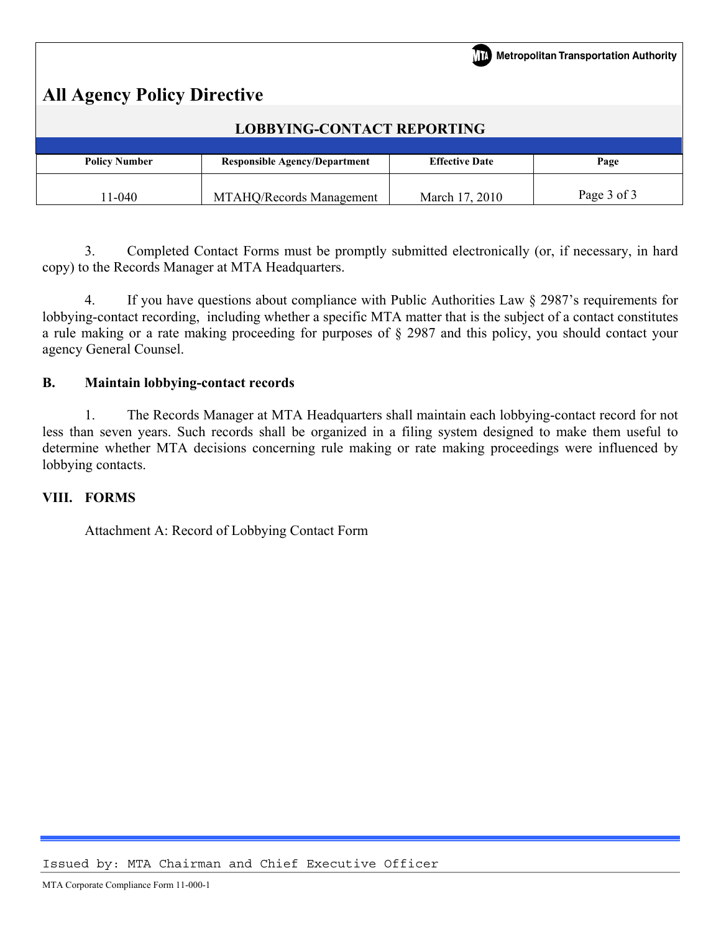|                                    |                                      |                       | Metropolitan Transportation Authority |  |  |
|------------------------------------|--------------------------------------|-----------------------|---------------------------------------|--|--|
| <b>All Agency Policy Directive</b> |                                      |                       |                                       |  |  |
| <b>LOBBYING-CONTACT REPORTING</b>  |                                      |                       |                                       |  |  |
|                                    |                                      |                       |                                       |  |  |
| <b>Policy Number</b>               | <b>Responsible Agency/Department</b> | <b>Effective Date</b> | Page                                  |  |  |
| $11 - 040$                         | MTAHQ/Records Management             | March 17, 2010        | Page 3 of 3                           |  |  |

 3. Completed Contact Forms must be promptly submitted electronically (or, if necessary, in hard copy) to the Records Manager at MTA Headquarters.

 4. If you have questions about compliance with Public Authorities Law § 2987's requirements for lobbying-contact recording, including whether a specific MTA matter that is the subject of a contact constitutes a rule making or a rate making proceeding for purposes of § 2987 and this policy, you should contact your agency General Counsel.

## **B. Maintain lobbying-contact records**

 1. The Records Manager at MTA Headquarters shall maintain each lobbying-contact record for not less than seven years. Such records shall be organized in a filing system designed to make them useful to determine whether MTA decisions concerning rule making or rate making proceedings were influenced by lobbying contacts.

### **VIII. FORMS**

Attachment A: Record of Lobbying Contact Form